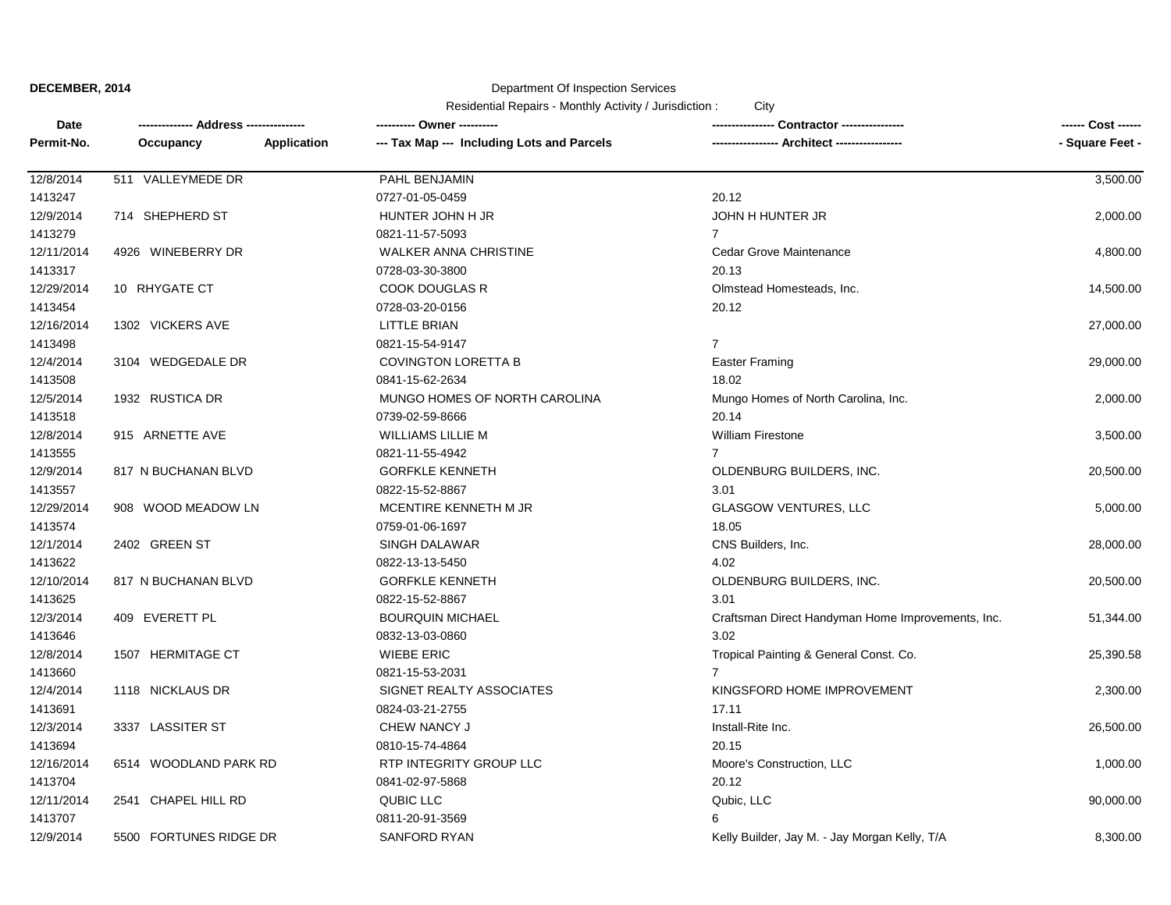### Department Of Inspection Services

| Date       | ------------- Address -------------- |             | ---------- Owner ----------                |                                                   | ------ Cost ------ |
|------------|--------------------------------------|-------------|--------------------------------------------|---------------------------------------------------|--------------------|
| Permit-No. | Occupancy                            | Application | --- Tax Map --- Including Lots and Parcels | <b>Architect -------------</b>                    | - Square Feet -    |
| 12/8/2014  | 511 VALLEYMEDE DR                    |             | PAHL BENJAMIN                              |                                                   | 3,500.00           |
| 1413247    |                                      |             | 0727-01-05-0459                            | 20.12                                             |                    |
| 12/9/2014  | 714 SHEPHERD ST                      |             | HUNTER JOHN H JR                           | JOHN H HUNTER JR                                  | 2,000.00           |
| 1413279    |                                      |             | 0821-11-57-5093                            | $\overline{7}$                                    |                    |
| 12/11/2014 | 4926 WINEBERRY DR                    |             | WALKER ANNA CHRISTINE                      | Cedar Grove Maintenance                           | 4,800.00           |
| 1413317    |                                      |             | 0728-03-30-3800                            | 20.13                                             |                    |
| 12/29/2014 | 10 RHYGATE CT                        |             | <b>COOK DOUGLAS R</b>                      | Olmstead Homesteads, Inc.                         | 14,500.00          |
| 1413454    |                                      |             | 0728-03-20-0156                            | 20.12                                             |                    |
| 12/16/2014 | 1302 VICKERS AVE                     |             | LITTLE BRIAN                               |                                                   | 27,000.00          |
| 1413498    |                                      |             | 0821-15-54-9147                            | $\overline{7}$                                    |                    |
| 12/4/2014  | 3104 WEDGEDALE DR                    |             | <b>COVINGTON LORETTA B</b>                 | <b>Easter Framing</b>                             | 29,000.00          |
| 1413508    |                                      |             | 0841-15-62-2634                            | 18.02                                             |                    |
| 12/5/2014  | 1932 RUSTICA DR                      |             | MUNGO HOMES OF NORTH CAROLINA              | Mungo Homes of North Carolina, Inc.               | 2,000.00           |
| 1413518    |                                      |             | 0739-02-59-8666                            | 20.14                                             |                    |
| 12/8/2014  | 915 ARNETTE AVE                      |             | <b>WILLIAMS LILLIE M</b>                   | <b>William Firestone</b>                          | 3,500.00           |
| 1413555    |                                      |             | 0821-11-55-4942                            | $\overline{7}$                                    |                    |
| 12/9/2014  | 817 N BUCHANAN BLVD                  |             | <b>GORFKLE KENNETH</b>                     | OLDENBURG BUILDERS, INC.                          | 20,500.00          |
| 1413557    |                                      |             | 0822-15-52-8867                            | 3.01                                              |                    |
| 12/29/2014 | 908 WOOD MEADOW LN                   |             | MCENTIRE KENNETH M JR                      | <b>GLASGOW VENTURES, LLC</b>                      | 5,000.00           |
| 1413574    |                                      |             | 0759-01-06-1697                            | 18.05                                             |                    |
| 12/1/2014  | 2402 GREEN ST                        |             | SINGH DALAWAR                              | CNS Builders, Inc.                                | 28,000.00          |
| 1413622    |                                      |             | 0822-13-13-5450                            | 4.02                                              |                    |
| 12/10/2014 | 817 N BUCHANAN BLVD                  |             | <b>GORFKLE KENNETH</b>                     | OLDENBURG BUILDERS, INC.                          | 20,500.00          |
| 1413625    |                                      |             | 0822-15-52-8867                            | 3.01                                              |                    |
| 12/3/2014  | 409 EVERETT PL                       |             | <b>BOURQUIN MICHAEL</b>                    | Craftsman Direct Handyman Home Improvements, Inc. | 51,344.00          |
| 1413646    |                                      |             | 0832-13-03-0860                            | 3.02                                              |                    |
| 12/8/2014  | 1507 HERMITAGE CT                    |             | <b>WIEBE ERIC</b>                          | Tropical Painting & General Const. Co.            | 25,390.58          |
| 1413660    |                                      |             | 0821-15-53-2031                            | 7                                                 |                    |
| 12/4/2014  | 1118 NICKLAUS DR                     |             | SIGNET REALTY ASSOCIATES                   | KINGSFORD HOME IMPROVEMENT                        | 2,300.00           |
| 1413691    |                                      |             | 0824-03-21-2755                            | 17.11                                             |                    |
| 12/3/2014  | 3337 LASSITER ST                     |             | CHEW NANCY J                               | Install-Rite Inc.                                 | 26,500.00          |
| 1413694    |                                      |             | 0810-15-74-4864                            | 20.15                                             |                    |
| 12/16/2014 | 6514 WOODLAND PARK RD                |             | RTP INTEGRITY GROUP LLC                    | Moore's Construction, LLC                         | 1,000.00           |
| 1413704    |                                      |             | 0841-02-97-5868                            | 20.12                                             |                    |
| 12/11/2014 | 2541 CHAPEL HILL RD                  |             | QUBIC LLC                                  | Qubic, LLC                                        | 90,000.00          |
| 1413707    |                                      |             | 0811-20-91-3569                            | 6                                                 |                    |
| 12/9/2014  | 5500 FORTUNES RIDGE DR               |             | <b>SANFORD RYAN</b>                        | Kelly Builder, Jay M. - Jay Morgan Kelly, T/A     | 8,300.00           |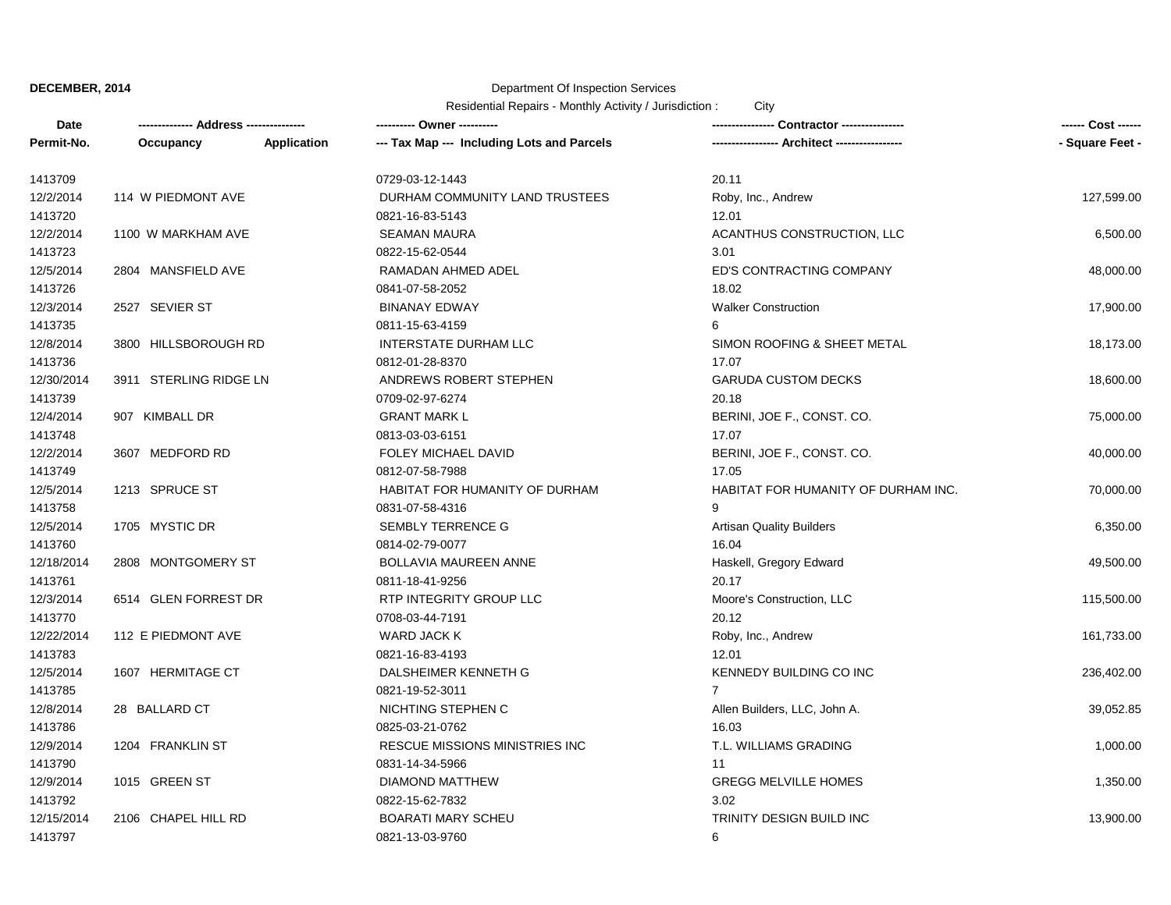# Department Of Inspection Services

| Date       | -------------- Address ------ |             | ---------- Owner ----------                | Contractor ----------------         | ------ Cost ------ |
|------------|-------------------------------|-------------|--------------------------------------------|-------------------------------------|--------------------|
| Permit-No. | Occupancy                     | Application | --- Tax Map --- Including Lots and Parcels | - Architect -----------------       | - Square Feet -    |
| 1413709    |                               |             | 0729-03-12-1443                            | 20.11                               |                    |
| 12/2/2014  | 114 W PIEDMONT AVE            |             | DURHAM COMMUNITY LAND TRUSTEES             | Roby, Inc., Andrew                  | 127,599.00         |
| 1413720    |                               |             | 0821-16-83-5143                            | 12.01                               |                    |
| 12/2/2014  | 1100 W MARKHAM AVE            |             | <b>SEAMAN MAURA</b>                        | ACANTHUS CONSTRUCTION, LLC          | 6,500.00           |
| 1413723    |                               |             | 0822-15-62-0544                            | 3.01                                |                    |
| 12/5/2014  | 2804 MANSFIELD AVE            |             | RAMADAN AHMED ADEL                         | ED'S CONTRACTING COMPANY            | 48,000.00          |
| 1413726    |                               |             | 0841-07-58-2052                            | 18.02                               |                    |
| 12/3/2014  | 2527 SEVIER ST                |             | <b>BINANAY EDWAY</b>                       | <b>Walker Construction</b>          | 17,900.00          |
| 1413735    |                               |             | 0811-15-63-4159                            | 6                                   |                    |
| 12/8/2014  | 3800 HILLSBOROUGH RD          |             | <b>INTERSTATE DURHAM LLC</b>               | SIMON ROOFING & SHEET METAL         | 18,173.00          |
| 1413736    |                               |             | 0812-01-28-8370                            | 17.07                               |                    |
| 12/30/2014 | 3911 STERLING RIDGE LN        |             | ANDREWS ROBERT STEPHEN                     | <b>GARUDA CUSTOM DECKS</b>          | 18,600.00          |
| 1413739    |                               |             | 0709-02-97-6274                            | 20.18                               |                    |
| 12/4/2014  | 907 KIMBALL DR                |             | <b>GRANT MARK L</b>                        | BERINI, JOE F., CONST. CO.          | 75,000.00          |
| 1413748    |                               |             | 0813-03-03-6151                            | 17.07                               |                    |
| 12/2/2014  | 3607 MEDFORD RD               |             | FOLEY MICHAEL DAVID                        | BERINI, JOE F., CONST. CO.          | 40,000.00          |
| 1413749    |                               |             | 0812-07-58-7988                            | 17.05                               |                    |
| 12/5/2014  | 1213 SPRUCE ST                |             | HABITAT FOR HUMANITY OF DURHAM             | HABITAT FOR HUMANITY OF DURHAM INC. | 70,000.00          |
| 1413758    |                               |             | 0831-07-58-4316                            | 9                                   |                    |
| 12/5/2014  | 1705 MYSTIC DR                |             | <b>SEMBLY TERRENCE G</b>                   | <b>Artisan Quality Builders</b>     | 6,350.00           |
| 1413760    |                               |             | 0814-02-79-0077                            | 16.04                               |                    |
| 12/18/2014 | 2808 MONTGOMERY ST            |             | BOLLAVIA MAUREEN ANNE                      | Haskell, Gregory Edward             | 49,500.00          |
| 1413761    |                               |             | 0811-18-41-9256                            | 20.17                               |                    |
| 12/3/2014  | 6514 GLEN FORREST DR          |             | RTP INTEGRITY GROUP LLC                    | Moore's Construction, LLC           | 115,500.00         |
| 1413770    |                               |             | 0708-03-44-7191                            | 20.12                               |                    |
| 12/22/2014 | 112 E PIEDMONT AVE            |             | <b>WARD JACK K</b>                         | Roby, Inc., Andrew                  | 161,733.00         |
| 1413783    |                               |             | 0821-16-83-4193                            | 12.01                               |                    |
| 12/5/2014  | 1607 HERMITAGE CT             |             | DALSHEIMER KENNETH G                       | KENNEDY BUILDING CO INC             | 236,402.00         |
| 1413785    |                               |             | 0821-19-52-3011                            | $\mathbf{7}$                        |                    |
| 12/8/2014  | 28 BALLARD CT                 |             | NICHTING STEPHEN C                         | Allen Builders, LLC, John A.        | 39,052.85          |
| 1413786    |                               |             | 0825-03-21-0762                            | 16.03                               |                    |
| 12/9/2014  | 1204 FRANKLIN ST              |             | RESCUE MISSIONS MINISTRIES INC             | T.L. WILLIAMS GRADING               | 1,000.00           |
| 1413790    |                               |             | 0831-14-34-5966                            | 11                                  |                    |
| 12/9/2014  | 1015 GREEN ST                 |             | <b>DIAMOND MATTHEW</b>                     | <b>GREGG MELVILLE HOMES</b>         | 1,350.00           |
| 1413792    |                               |             | 0822-15-62-7832                            | 3.02                                |                    |
| 12/15/2014 | 2106 CHAPEL HILL RD           |             | <b>BOARATI MARY SCHEU</b>                  | TRINITY DESIGN BUILD INC            | 13,900.00          |
| 1413797    |                               |             | 0821-13-03-9760                            | 6                                   |                    |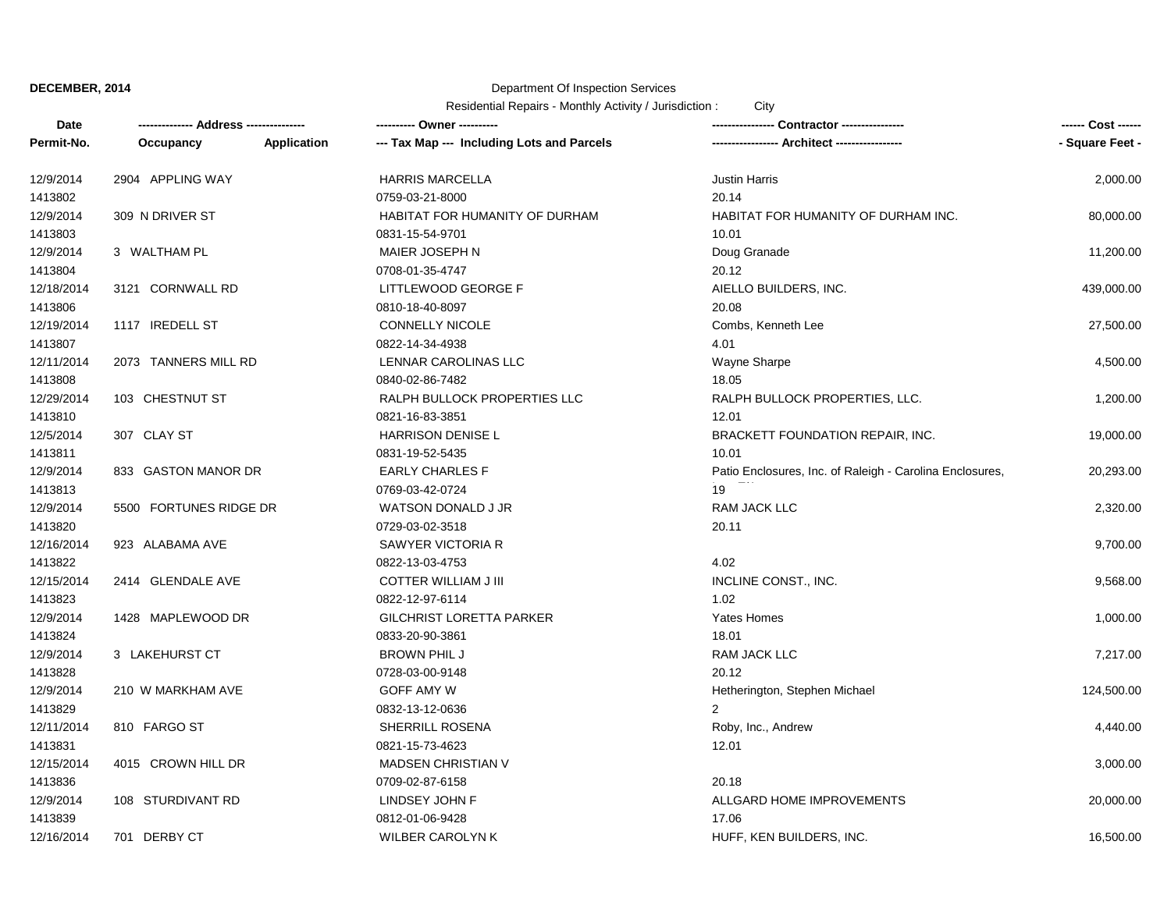## Department Of Inspection Services

| Date       |                        |             | ---------- Owner ----------                |                                                          | ------ Cost ------ |
|------------|------------------------|-------------|--------------------------------------------|----------------------------------------------------------|--------------------|
| Permit-No. | Occupancy              | Application | --- Tax Map --- Including Lots and Parcels | ---------------- Architect ----------------              | - Square Feet -    |
| 12/9/2014  | 2904 APPLING WAY       |             | <b>HARRIS MARCELLA</b>                     | <b>Justin Harris</b>                                     | 2,000.00           |
| 1413802    |                        |             | 0759-03-21-8000                            | 20.14                                                    |                    |
| 12/9/2014  | 309 N DRIVER ST        |             | HABITAT FOR HUMANITY OF DURHAM             | HABITAT FOR HUMANITY OF DURHAM INC.                      | 80,000.00          |
| 1413803    |                        |             | 0831-15-54-9701                            | 10.01                                                    |                    |
| 12/9/2014  | 3 WALTHAM PL           |             | MAIER JOSEPH N                             | Doug Granade                                             | 11,200.00          |
| 1413804    |                        |             | 0708-01-35-4747                            | 20.12                                                    |                    |
| 12/18/2014 | 3121 CORNWALL RD       |             | LITTLEWOOD GEORGE F                        | AIELLO BUILDERS, INC.                                    | 439,000.00         |
| 1413806    |                        |             | 0810-18-40-8097                            | 20.08                                                    |                    |
| 12/19/2014 | 1117 IREDELL ST        |             | CONNELLY NICOLE                            | Combs, Kenneth Lee                                       | 27,500.00          |
| 1413807    |                        |             | 0822-14-34-4938                            | 4.01                                                     |                    |
| 12/11/2014 | 2073 TANNERS MILL RD   |             | LENNAR CAROLINAS LLC                       | Wayne Sharpe                                             | 4,500.00           |
| 1413808    |                        |             | 0840-02-86-7482                            | 18.05                                                    |                    |
| 12/29/2014 | 103 CHESTNUT ST        |             | RALPH BULLOCK PROPERTIES LLC               | RALPH BULLOCK PROPERTIES, LLC.                           | 1,200.00           |
| 1413810    |                        |             | 0821-16-83-3851                            | 12.01                                                    |                    |
| 12/5/2014  | 307 CLAY ST            |             | <b>HARRISON DENISE L</b>                   | <b>BRACKETT FOUNDATION REPAIR, INC.</b>                  | 19,000.00          |
| 1413811    |                        |             | 0831-19-52-5435                            | 10.01                                                    |                    |
| 12/9/2014  | 833 GASTON MANOR DR    |             | <b>EARLY CHARLES F</b>                     | Patio Enclosures, Inc. of Raleigh - Carolina Enclosures, | 20,293.00          |
| 1413813    |                        |             | 0769-03-42-0724                            | 19                                                       |                    |
| 12/9/2014  | 5500 FORTUNES RIDGE DR |             | WATSON DONALD J JR                         | <b>RAM JACK LLC</b>                                      | 2,320.00           |
| 1413820    |                        |             | 0729-03-02-3518                            | 20.11                                                    |                    |
| 12/16/2014 | 923 ALABAMA AVE        |             | <b>SAWYER VICTORIA R</b>                   |                                                          | 9,700.00           |
| 1413822    |                        |             | 0822-13-03-4753                            | 4.02                                                     |                    |
| 12/15/2014 | 2414 GLENDALE AVE      |             | <b>COTTER WILLIAM J III</b>                | INCLINE CONST., INC.                                     | 9,568.00           |
| 1413823    |                        |             | 0822-12-97-6114                            | 1.02                                                     |                    |
| 12/9/2014  | 1428 MAPLEWOOD DR      |             | <b>GILCHRIST LORETTA PARKER</b>            | <b>Yates Homes</b>                                       | 1,000.00           |
| 1413824    |                        |             | 0833-20-90-3861                            | 18.01                                                    |                    |
| 12/9/2014  | 3 LAKEHURST CT         |             | <b>BROWN PHIL J</b>                        | RAM JACK LLC                                             | 7,217.00           |
| 1413828    |                        |             | 0728-03-00-9148                            | 20.12                                                    |                    |
| 12/9/2014  | 210 W MARKHAM AVE      |             | GOFF AMY W                                 | Hetherington, Stephen Michael                            | 124,500.00         |
| 1413829    |                        |             | 0832-13-12-0636                            | $\overline{2}$                                           |                    |
| 12/11/2014 | 810 FARGO ST           |             | SHERRILL ROSENA                            | Roby, Inc., Andrew                                       | 4,440.00           |
| 1413831    |                        |             | 0821-15-73-4623                            | 12.01                                                    |                    |
| 12/15/2014 | 4015 CROWN HILL DR     |             | <b>MADSEN CHRISTIAN V</b>                  |                                                          | 3,000.00           |
| 1413836    |                        |             | 0709-02-87-6158                            | 20.18                                                    |                    |
| 12/9/2014  | 108 STURDIVANT RD      |             | LINDSEY JOHN F                             | ALLGARD HOME IMPROVEMENTS                                | 20,000.00          |
| 1413839    |                        |             | 0812-01-06-9428                            | 17.06                                                    |                    |
| 12/16/2014 | 701 DERBY CT           |             | WILBER CAROLYN K                           | HUFF, KEN BUILDERS, INC.                                 | 16,500.00          |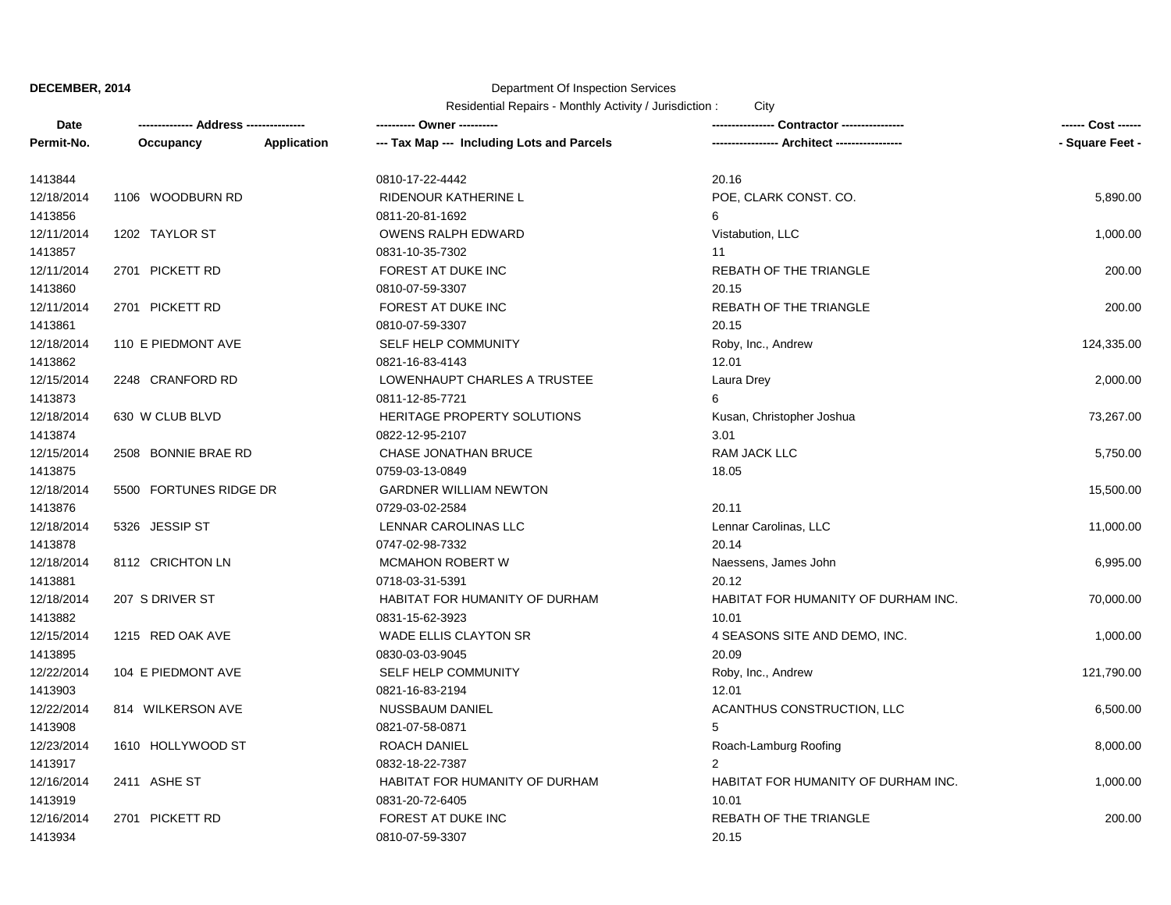# Department Of Inspection Services

| Date       | -------------- Address ------ |             |                                            | Contractor ----------------         | ------ Cost ------ |
|------------|-------------------------------|-------------|--------------------------------------------|-------------------------------------|--------------------|
| Permit-No. | Occupancy                     | Application | --- Tax Map --- Including Lots and Parcels | Architect -----------------         | - Square Feet -    |
| 1413844    |                               |             | 0810-17-22-4442                            | 20.16                               |                    |
| 12/18/2014 | 1106 WOODBURN RD              |             | RIDENOUR KATHERINE L                       | POE, CLARK CONST. CO.               | 5,890.00           |
| 1413856    |                               |             | 0811-20-81-1692                            | 6                                   |                    |
| 12/11/2014 | 1202 TAYLOR ST                |             | <b>OWENS RALPH EDWARD</b>                  | Vistabution, LLC                    | 1,000.00           |
| 1413857    |                               |             | 0831-10-35-7302                            | 11                                  |                    |
| 12/11/2014 | 2701 PICKETT RD               |             | FOREST AT DUKE INC                         | REBATH OF THE TRIANGLE              | 200.00             |
| 1413860    |                               |             | 0810-07-59-3307                            | 20.15                               |                    |
| 12/11/2014 | 2701 PICKETT RD               |             | FOREST AT DUKE INC                         | REBATH OF THE TRIANGLE              | 200.00             |
| 1413861    |                               |             | 0810-07-59-3307                            | 20.15                               |                    |
| 12/18/2014 | 110 E PIEDMONT AVE            |             | SELF HELP COMMUNITY                        | Roby, Inc., Andrew                  | 124,335.00         |
| 1413862    |                               |             | 0821-16-83-4143                            | 12.01                               |                    |
| 12/15/2014 | 2248 CRANFORD RD              |             | LOWENHAUPT CHARLES A TRUSTEE               | Laura Drey                          | 2,000.00           |
| 1413873    |                               |             | 0811-12-85-7721                            | 6                                   |                    |
| 12/18/2014 | 630 W CLUB BLVD               |             | HERITAGE PROPERTY SOLUTIONS                | Kusan, Christopher Joshua           | 73,267.00          |
| 1413874    |                               |             | 0822-12-95-2107                            | 3.01                                |                    |
| 12/15/2014 | 2508 BONNIE BRAE RD           |             | CHASE JONATHAN BRUCE                       | RAM JACK LLC                        | 5,750.00           |
| 1413875    |                               |             | 0759-03-13-0849                            | 18.05                               |                    |
| 12/18/2014 | 5500 FORTUNES RIDGE DR        |             | <b>GARDNER WILLIAM NEWTON</b>              |                                     | 15,500.00          |
| 1413876    |                               |             | 0729-03-02-2584                            | 20.11                               |                    |
| 12/18/2014 | 5326 JESSIP ST                |             | LENNAR CAROLINAS LLC                       | Lennar Carolinas, LLC               | 11,000.00          |
| 1413878    |                               |             | 0747-02-98-7332                            | 20.14                               |                    |
| 12/18/2014 | 8112 CRICHTON LN              |             | <b>MCMAHON ROBERT W</b>                    | Naessens, James John                | 6,995.00           |
| 1413881    |                               |             | 0718-03-31-5391                            | 20.12                               |                    |
| 12/18/2014 | 207 S DRIVER ST               |             | HABITAT FOR HUMANITY OF DURHAM             | HABITAT FOR HUMANITY OF DURHAM INC. | 70,000.00          |
| 1413882    |                               |             | 0831-15-62-3923                            | 10.01                               |                    |
| 12/15/2014 | 1215 RED OAK AVE              |             | <b>WADE ELLIS CLAYTON SR</b>               | 4 SEASONS SITE AND DEMO, INC.       | 1,000.00           |
| 1413895    |                               |             | 0830-03-03-9045                            | 20.09                               |                    |
| 12/22/2014 | 104 E PIEDMONT AVE            |             | SELF HELP COMMUNITY                        | Roby, Inc., Andrew                  | 121,790.00         |
| 1413903    |                               |             | 0821-16-83-2194                            | 12.01                               |                    |
| 12/22/2014 | 814 WILKERSON AVE             |             | NUSSBAUM DANIEL                            | ACANTHUS CONSTRUCTION, LLC          | 6,500.00           |
| 1413908    |                               |             | 0821-07-58-0871                            | 5                                   |                    |
| 12/23/2014 | 1610 HOLLYWOOD ST             |             | ROACH DANIEL                               | Roach-Lamburg Roofing               | 8,000.00           |
| 1413917    |                               |             | 0832-18-22-7387                            | $\overline{2}$                      |                    |
| 12/16/2014 | 2411 ASHE ST                  |             | HABITAT FOR HUMANITY OF DURHAM             | HABITAT FOR HUMANITY OF DURHAM INC. | 1,000.00           |
| 1413919    |                               |             | 0831-20-72-6405                            | 10.01                               |                    |
| 12/16/2014 | 2701 PICKETT RD               |             | FOREST AT DUKE INC                         | REBATH OF THE TRIANGLE              | 200.00             |
| 1413934    |                               |             | 0810-07-59-3307                            | 20.15                               |                    |